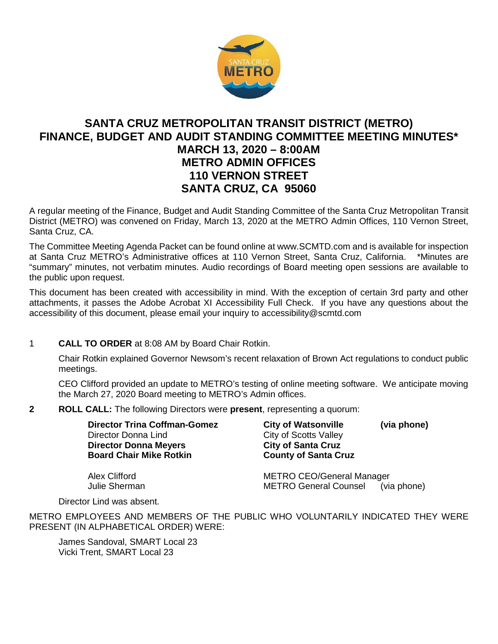

# **SANTA CRUZ METROPOLITAN TRANSIT DISTRICT (METRO) FINANCE, BUDGET AND AUDIT STANDING COMMITTEE MEETING MINUTES\* MARCH 13, 2020 – 8:00AM METRO ADMIN OFFICES 110 VERNON STREET SANTA CRUZ, CA 95060**

A regular meeting of the Finance, Budget and Audit Standing Committee of the Santa Cruz Metropolitan Transit District (METRO) was convened on Friday, March 13, 2020 at the METRO Admin Offices, 110 Vernon Street, Santa Cruz, CA.

The Committee Meeting Agenda Packet can be found online at www.SCMTD.com and is available for inspection at Santa Cruz METRO's Administrative offices at 110 Vernon Street, Santa Cruz, California. \*Minutes are "summary" minutes, not verbatim minutes. Audio recordings of Board meeting open sessions are available to the public upon request.

This document has been created with accessibility in mind. With the exception of certain 3rd party and other attachments, it passes the Adobe Acrobat XI Accessibility Full Check. If you have any questions about the accessibility of this document, please email your inquiry to accessibility@scmtd.com

## 1 **CALL TO ORDER** at 8:08 AM by Board Chair Rotkin.

Chair Rotkin explained Governor Newsom's recent relaxation of Brown Act regulations to conduct public meetings.

CEO Clifford provided an update to METRO's testing of online meeting software. We anticipate moving the March 27, 2020 Board meeting to METRO's Admin offices.

**2 ROLL CALL:** The following Directors were **present**, representing a quorum:

| <b>Director Trina Coffman-Gomez</b> | (via phone)<br><b>City of Watsonville</b>   |
|-------------------------------------|---------------------------------------------|
| Director Donna Lind                 | <b>City of Scotts Valley</b>                |
| <b>Director Donna Meyers</b>        | <b>City of Santa Cruz</b>                   |
| <b>Board Chair Mike Rotkin</b>      | <b>County of Santa Cruz</b>                 |
|                                     |                                             |
| Alex Clifford                       | <b>METRO CEO/General Manager</b>            |
| Julie Sherman                       | <b>METRO General Counsel</b><br>(via phone) |

Director Lind was absent.

METRO EMPLOYEES AND MEMBERS OF THE PUBLIC WHO VOLUNTARILY INDICATED THEY WERE PRESENT (IN ALPHABETICAL ORDER) WERE:

James Sandoval, SMART Local 23 Vicki Trent, SMART Local 23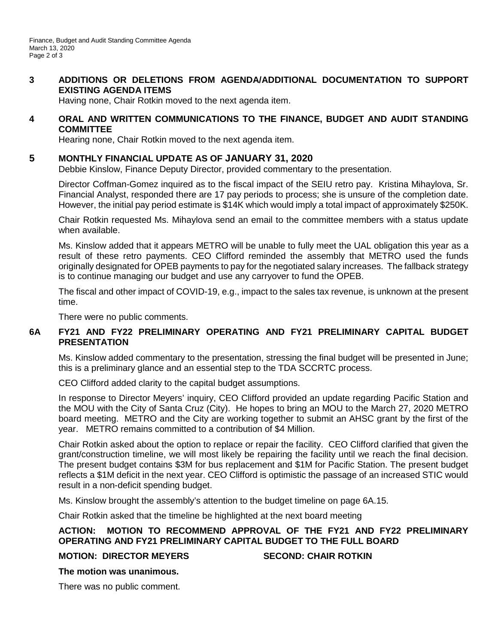## **3 ADDITIONS OR DELETIONS FROM AGENDA/ADDITIONAL DOCUMENTATION TO SUPPORT EXISTING AGENDA ITEMS**

Having none, Chair Rotkin moved to the next agenda item.

#### **4 ORAL AND WRITTEN COMMUNICATIONS TO THE FINANCE, BUDGET AND AUDIT STANDING COMMITTEE**

Hearing none, Chair Rotkin moved to the next agenda item.

## **5 MONTHLY FINANCIAL UPDATE AS OF JANUARY 31, 2020**

Debbie Kinslow, Finance Deputy Director, provided commentary to the presentation.

Director Coffman-Gomez inquired as to the fiscal impact of the SEIU retro pay. Kristina Mihaylova, Sr. Financial Analyst, responded there are 17 pay periods to process; she is unsure of the completion date. However, the initial pay period estimate is \$14K which would imply a total impact of approximately \$250K.

Chair Rotkin requested Ms. Mihaylova send an email to the committee members with a status update when available.

Ms. Kinslow added that it appears METRO will be unable to fully meet the UAL obligation this year as a result of these retro payments. CEO Clifford reminded the assembly that METRO used the funds originally designated for OPEB payments to pay for the negotiated salary increases. The fallback strategy is to continue managing our budget and use any carryover to fund the OPEB.

The fiscal and other impact of COVID-19, e.g., impact to the sales tax revenue, is unknown at the present time.

There were no public comments.

## **6A FY21 AND FY22 PRELIMINARY OPERATING AND FY21 PRELIMINARY CAPITAL BUDGET PRESENTATION**

Ms. Kinslow added commentary to the presentation, stressing the final budget will be presented in June; this is a preliminary glance and an essential step to the TDA SCCRTC process.

CEO Clifford added clarity to the capital budget assumptions.

In response to Director Meyers' inquiry, CEO Clifford provided an update regarding Pacific Station and the MOU with the City of Santa Cruz (City). He hopes to bring an MOU to the March 27, 2020 METRO board meeting. METRO and the City are working together to submit an AHSC grant by the first of the year. METRO remains committed to a contribution of \$4 Million.

Chair Rotkin asked about the option to replace or repair the facility. CEO Clifford clarified that given the grant/construction timeline, we will most likely be repairing the facility until we reach the final decision. The present budget contains \$3M for bus replacement and \$1M for Pacific Station. The present budget reflects a \$1M deficit in the next year. CEO Clifford is optimistic the passage of an increased STIC would result in a non-deficit spending budget.

Ms. Kinslow brought the assembly's attention to the budget timeline on page 6A.15.

Chair Rotkin asked that the timeline be highlighted at the next board meeting

## **ACTION: MOTION TO RECOMMEND APPROVAL OF THE FY21 AND FY22 PRELIMINARY OPERATING AND FY21 PRELIMINARY CAPITAL BUDGET TO THE FULL BOARD**

#### **MOTION: DIRECTOR MEYERS SECOND: CHAIR ROTKIN**

#### **The motion was unanimous.**

There was no public comment.